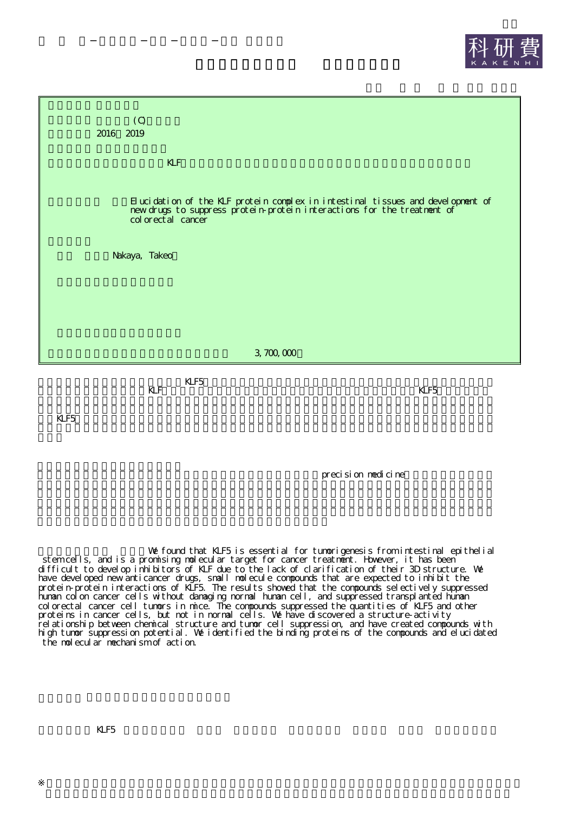



KLF<sub>5</sub>

precision medicine

We found that KLF5 is essential for tumorigenesis from intestinal epithelial stem cells, and is a promising molecular target for cancer treatment. However, it has been difficult to develop inhibitors of KLF due to the lack of clarification of their 3D structure. We have developed new anticancer drugs, small molecule compounds that are expected to inhibit the protein-protein interactions of KLF5. The results showed that the compounds selectively suppressed human colon cancer cells without damaging normal human cell, and suppressed transplanted human colorectal cancer cell tumors in mice. The compounds suppressed the quantities of KLF5 and other proteins in cancer cells, but not in normal cells. We have discovered a structure-activity relationship between chemical structure and tumor cell suppression, and have created compounds with high tumor suppression potential. We identified the binding proteins of the compounds and elucidated the molecular mechanism of action.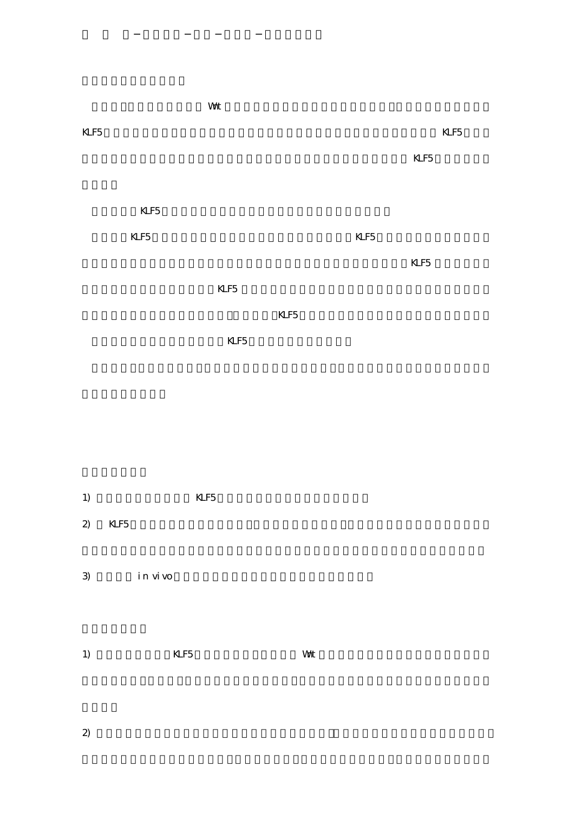Wit

KLF5 KLF5

KLF5

KLF5

KLF5 KLF5

KLF5

KLF5

KLF5

1) KLF5

KLF5

2) KLF5

3) in vivo

1) KLF5 Wat

2)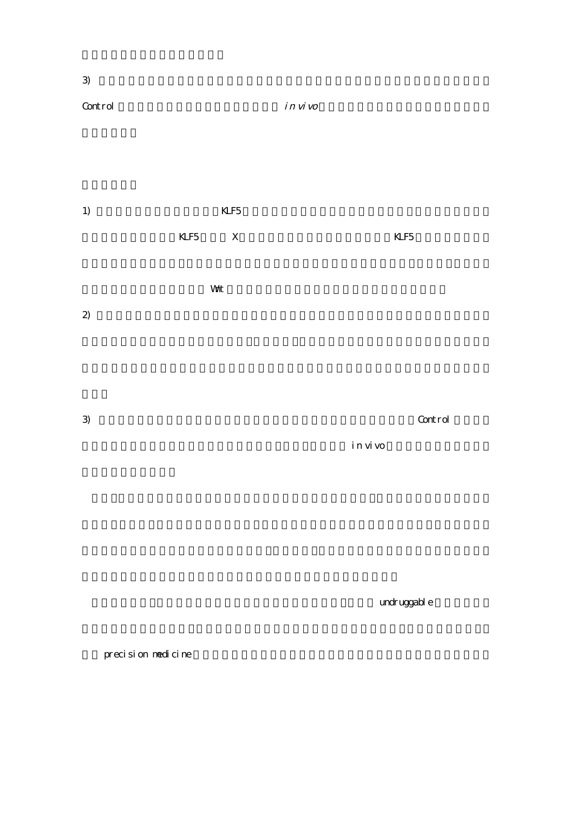## Control in vivo

1) KLF5

KLF5 X KLF5

Wit

3) Control

2)

in vivo

undruggable

precision medicine

3)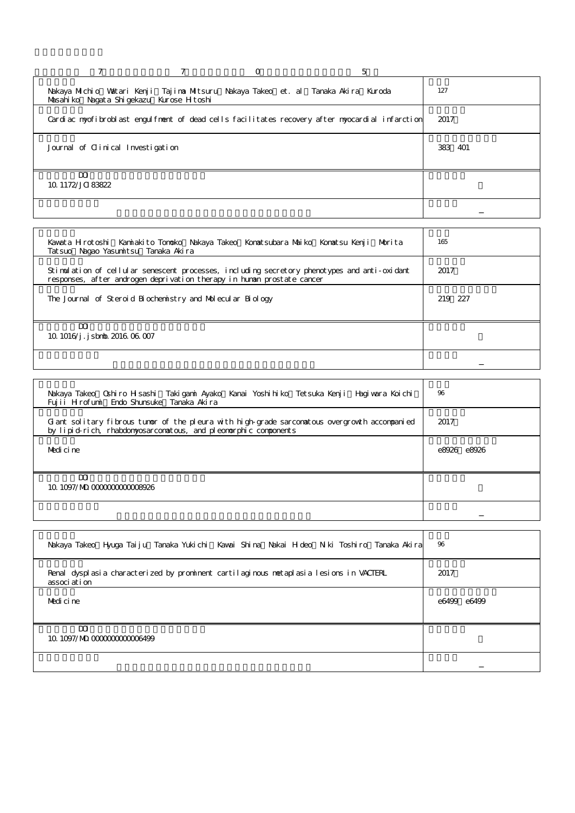| 7                                                                                                                             | 7 | 0 | 5                                                                                               |            |
|-------------------------------------------------------------------------------------------------------------------------------|---|---|-------------------------------------------------------------------------------------------------|------------|
| Nakaya Michio Watari Kenji Tajima Mitsuru Nakaya Takeo et. al Tanaka Akira Kuroda<br>Musahi ko Nagata Shigekazu Kurose Htoshi |   |   |                                                                                                 | 127        |
|                                                                                                                               |   |   | Cardiac myofibroblast engulfment of dead cells facilitates recovery after myocardial infarction | 2017       |
| Journal of Clinical Investigation                                                                                             |   |   |                                                                                                 | 383<br>401 |
| m<br>10 1172/JO 83822                                                                                                         |   |   |                                                                                                 |            |
|                                                                                                                               |   |   |                                                                                                 |            |

| Kawata Hirotoshi Kamiakito Tomoko Nakaya Takeo Komatsubara Maiko Komatsu Kenji Morita<br>Tatsuo Nagao Yasumitsu Tanaka Akira                                           | 165        |
|------------------------------------------------------------------------------------------------------------------------------------------------------------------------|------------|
| Stimulation of cellular senescent processes, including secretory phenotypes and anti-oxidant<br>responses, after androgen deprivation therapy in human prostate cancer | 2017       |
| The Journal of Steroid Biochemistry and Molecular Biology                                                                                                              | 227<br>219 |
| m<br>10 1016/j. jsbnh 2016 06 007                                                                                                                                      |            |
|                                                                                                                                                                        |            |

| Nakaya Takeo Oshiro Hisashi Takigani Ayako Kanai Yoshihiko Tetsuka Kenji Hagivara Koichi<br>Fujii Hrofuni Endo Shunsuke Tanaka Akira                             | 96          |
|------------------------------------------------------------------------------------------------------------------------------------------------------------------|-------------|
| Giant solitary fibrous tumor of the pleura with high-grade sarcomatous overgrowth accompanied<br>by lipid-rich, rhabdonyosarconatous, and pleonorphic components | 2017        |
| Medicine                                                                                                                                                         | e8926 e8926 |
| m<br>10 1097/ND 00000000008926                                                                                                                                   |             |
|                                                                                                                                                                  |             |

| Nakaya Takeo Hyuga Taiju Tanaka Yukichi Kavai Shina Nakai Hideo Niki Toshiro Tanaka Akira             | 96          |
|-------------------------------------------------------------------------------------------------------|-------------|
| Renal dysplasia characterized by prominent cartilaginous metaplasia lesions in VACIERL<br>association | 2017        |
| Medicine                                                                                              | e6499 e6499 |
| m<br>10 1097/MD 00000000006499                                                                        |             |
|                                                                                                       |             |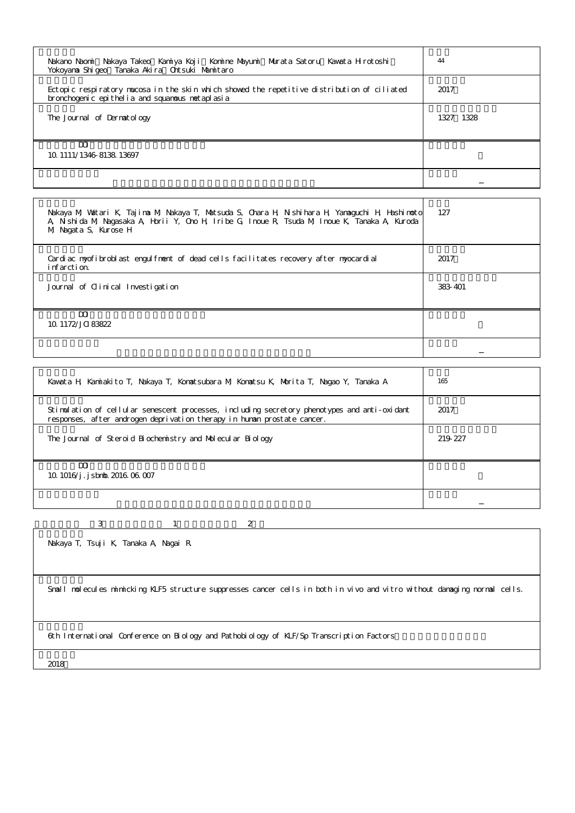| Nakano Naomi Nakaya Takeo Kaniya Koji Konime Mayuni Murata Satoru Kavata Hirotoshi<br>Yokoyana Shigeo Tanaka Akira Ontsuki Mamitaro           | 44             |
|-----------------------------------------------------------------------------------------------------------------------------------------------|----------------|
| Ectopic respiratory mucosa in the skin which showed the repetitive distribution of ciliated<br>bronchogenic epithelia and squanous metaplasia | 2017           |
| The Journal of Dernatology                                                                                                                    | - 1328<br>1327 |
| $\mathbf{m}$<br>10 1111/1346 8138 13697                                                                                                       |                |
|                                                                                                                                               |                |

| Nakaya M, Vaitari K, Tajima M, Nakaya T, Matsuda S, Ohara H, Nishihara H, Yamaguchi H, Hashimoto<br>A, Nishida M, Nagasaka A, Horii Y, Ono H, Iribe G, Inoue R, Tsuda M, Inoue K, Tanaka A, Kuroda<br>M Nagata S, Kurose H | 127     |
|----------------------------------------------------------------------------------------------------------------------------------------------------------------------------------------------------------------------------|---------|
| Cardiac myofibroblast engulfment of dead cells facilitates recovery after myocardial<br>infarction                                                                                                                         | 2017    |
| Journal of Clinical Investigation                                                                                                                                                                                          | 383 401 |
| m<br>10 1172/JO 83822                                                                                                                                                                                                      |         |
|                                                                                                                                                                                                                            |         |

| Kawata H. Kaninakito T. Nakaya T. Konatsubara M. Konatsu K. Morita T. Nagao Y. Tanaka A.                                                                                | 165     |
|-------------------------------------------------------------------------------------------------------------------------------------------------------------------------|---------|
| Stimulation of cellular senescent processes, including secretory phenotypes and anti-oxidant<br>responses, after androgen deprivation therapy in human prostate cancer. | 2017    |
| The Journal of Steroid Biochemistry and Molecular Biology                                                                                                               | 219 227 |
| m<br>10.1016/j.jsbnb. 2016.06.007                                                                                                                                       |         |
|                                                                                                                                                                         |         |

3 1 2

Nakaya T, Tsuji K, Tanaka A, Nagai R.

Small molecules mimicking KLF5 structure suppresses cancer cells in both in vivo and vitro without damaging normal cells.

6th International Conference on Biology and Pathobiology of KLF/Sp Transcription Factors

2018